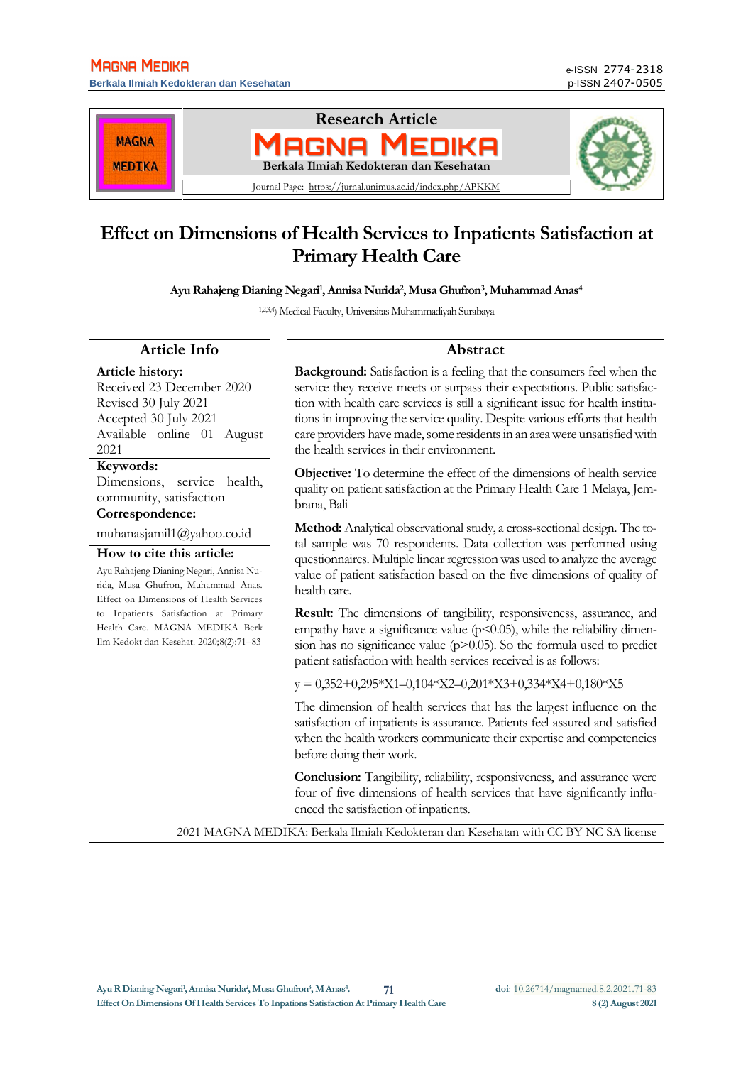**Berkala Ilmiah Kedokteran dan Kesehatan** 



# **Effect on Dimensions of Health Services to Inpatients Satisfaction at Primary Health Care**

**Ayu Rahajeng Dianing Negari<sup>1</sup> , Annisa Nurida<sup>2</sup> , Musa Ghufron<sup>3</sup> , Muhammad Anas<sup>4</sup>**

1,2,3,4) Medical Faculty, Universitas Muhammadiyah Surabaya

#### **Article Info Abstract**

**Article history:** Received 23 December 2020 Revised 30 July 2021 Accepted 30 July 2021 Available online 01 August 2021

#### **Keywords:**

Dimensions, service health, community, satisfaction

### **Correspondence:**

muhanasjamil1@yahoo.co.id

#### **How to cite this article:**

Ayu Rahajeng Dianing Negari, Annisa Nurida, Musa Ghufron, Muhammad Anas. Effect on Dimensions of Health Services to Inpatients Satisfaction at Primary Health Care. MAGNA MEDIKA Berk Ilm Kedokt dan Kesehat. 2020;8(2):71–83

**Background:** Satisfaction is a feeling that the consumers feel when the service they receive meets or surpass their expectations. Public satisfaction with health care services is still a significant issue for health institutions in improving the service quality. Despite various efforts that health care providers have made, some residents in an areawere unsatisfied with the health services in their environment.

**Objective:** To determine the effect of the dimensions of health service quality on patient satisfaction at the Primary Health Care 1 Melaya, Jembrana, Bali

**Method:** Analytical observational study, a cross-sectional design. The total sample was 70 respondents. Data collection was performed using questionnaires. Multiple linear regression was used to analyze the average value of patient satisfaction based on the five dimensions of quality of health care.

**Result:** The dimensions of tangibility, responsiveness, assurance, and empathy have a significance value ( $p$ <0.05), while the reliability dimension has no significance value  $(p>0.05)$ . So the formula used to predict patient satisfaction with health services received is as follows:

y = 0,352+0,295\*X1–0,104\*X2–0,201\*X3+0,334\*X4+0,180\*X5

The dimension of health services that has the largest influence on the satisfaction of inpatients is assurance. Patients feel assured and satisfied when the health workers communicate their expertise and competencies before doing their work.

**Conclusion:** Tangibility, reliability, responsiveness, and assurance were four of five dimensions of health services that have significantly influenced the satisfaction of inpatients.

2021 MAGNA MEDIKA: Berkala Ilmiah Kedokteran dan Kesehatan with CC BY NC SA license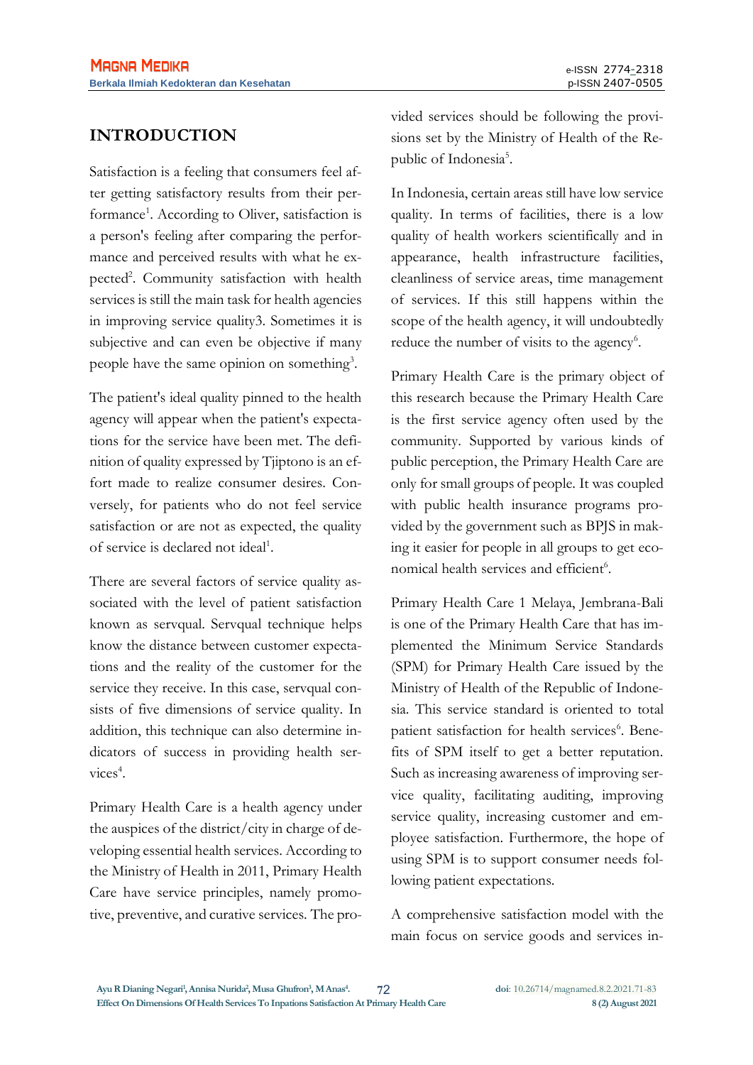## **INTRODUCTION**

Satisfaction is a feeling that consumers feel after getting satisfactory results from their performance<sup>1</sup>. According to Oliver, satisfaction is a person's feeling after comparing the performance and perceived results with what he expected<sup>2</sup>. Community satisfaction with health services is still the main task for health agencies in improving service quality3. Sometimes it is subjective and can even be objective if many people have the same opinion on something<sup>3</sup>.

The patient's ideal quality pinned to the health agency will appear when the patient's expectations for the service have been met. The definition of quality expressed by Tjiptono is an effort made to realize consumer desires. Conversely, for patients who do not feel service satisfaction or are not as expected, the quality of service is declared not ideal<sup>1</sup>.

There are several factors of service quality associated with the level of patient satisfaction known as servqual. Servqual technique helps know the distance between customer expectations and the reality of the customer for the service they receive. In this case, servqual consists of five dimensions of service quality. In addition, this technique can also determine indicators of success in providing health services<sup>4</sup>.

Primary Health Care is a health agency under the auspices of the district/city in charge of developing essential health services. According to the Ministry of Health in 2011, Primary Health Care have service principles, namely promotive, preventive, and curative services. The provided services should be following the provisions set by the Ministry of Health of the Republic of Indonesia<sup>5</sup>.

In Indonesia, certain areas still have low service quality. In terms of facilities, there is a low quality of health workers scientifically and in appearance, health infrastructure facilities, cleanliness of service areas, time management of services. If this still happens within the scope of the health agency, it will undoubtedly reduce the number of visits to the agency<sup>6</sup>.

Primary Health Care is the primary object of this research because the Primary Health Care is the first service agency often used by the community. Supported by various kinds of public perception, the Primary Health Care are only for small groups of people. It was coupled with public health insurance programs provided by the government such as BPJS in making it easier for people in all groups to get economical health services and efficient<sup>6</sup>.

Primary Health Care 1 Melaya, Jembrana-Bali is one of the Primary Health Care that has implemented the Minimum Service Standards (SPM) for Primary Health Care issued by the Ministry of Health of the Republic of Indonesia. This service standard is oriented to total patient satisfaction for health services<sup>6</sup>. Benefits of SPM itself to get a better reputation. Such as increasing awareness of improving service quality, facilitating auditing, improving service quality, increasing customer and employee satisfaction. Furthermore, the hope of using SPM is to support consumer needs following patient expectations.

A comprehensive satisfaction model with the main focus on service goods and services in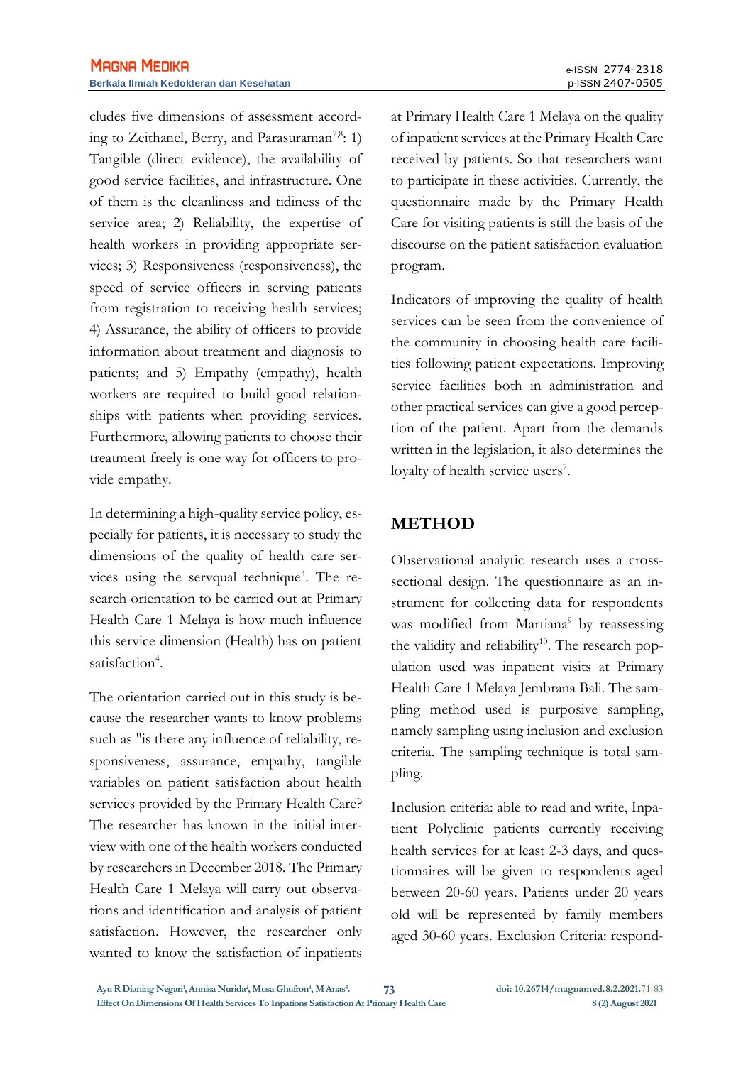cludes five dimensions of assessment according to Zeithanel, Berry, and Parasuraman<sup>7,8</sup>: 1) Tangible (direct evidence), the availability of good service facilities, and infrastructure. One of them is the cleanliness and tidiness of the service area; 2) Reliability, the expertise of health workers in providing appropriate services; 3) Responsiveness (responsiveness), the speed of service officers in serving patients from registration to receiving health services; 4) Assurance, the ability of officers to provide information about treatment and diagnosis to patients; and 5) Empathy (empathy), health workers are required to build good relationships with patients when providing services. Furthermore, allowing patients to choose their treatment freely is one way for officers to provide empathy.

In determining a high-quality service policy, especially for patients, it is necessary to study the dimensions of the quality of health care services using the servqual technique<sup>4</sup>. The research orientation to be carried out at Primary Health Care 1 Melaya is how much influence this service dimension (Health) has on patient satisfaction<sup>4</sup>.

The orientation carried out in this study is because the researcher wants to know problems such as "is there any influence of reliability, responsiveness, assurance, empathy, tangible variables on patient satisfaction about health services provided by the Primary Health Care? The researcher has known in the initial interview with one of the health workers conducted by researchers in December 2018. The Primary Health Care 1 Melaya will carry out observations and identification and analysis of patient satisfaction. However, the researcher only wanted to know the satisfaction of inpatients at Primary Health Care 1 Melaya on the quality of inpatient services at the Primary Health Care received by patients. So that researchers want to participate in these activities. Currently, the questionnaire made by the Primary Health Care for visiting patients is still the basis of the discourse on the patient satisfaction evaluation program.

Indicators of improving the quality of health services can be seen from the convenience of the community in choosing health care facilities following patient expectations. Improving service facilities both in administration and other practical services can give a good perception of the patient. Apart from the demands written in the legislation, it also determines the loyalty of health service users<sup>7</sup>.

## **METHOD**

Observational analytic research uses a crosssectional design. The questionnaire as an instrument for collecting data for respondents was modified from Martiana<sup>9</sup> by reassessing the validity and reliability<sup>10</sup>. The research population used was inpatient visits at Primary Health Care 1 Melaya Jembrana Bali. The sampling method used is purposive sampling, namely sampling using inclusion and exclusion criteria. The sampling technique is total sampling.

Inclusion criteria: able to read and write, Inpatient Polyclinic patients currently receiving health services for at least 2-3 days, and questionnaires will be given to respondents aged between 20-60 years. Patients under 20 years old will be represented by family members aged 30-60 years. Exclusion Criteria: respond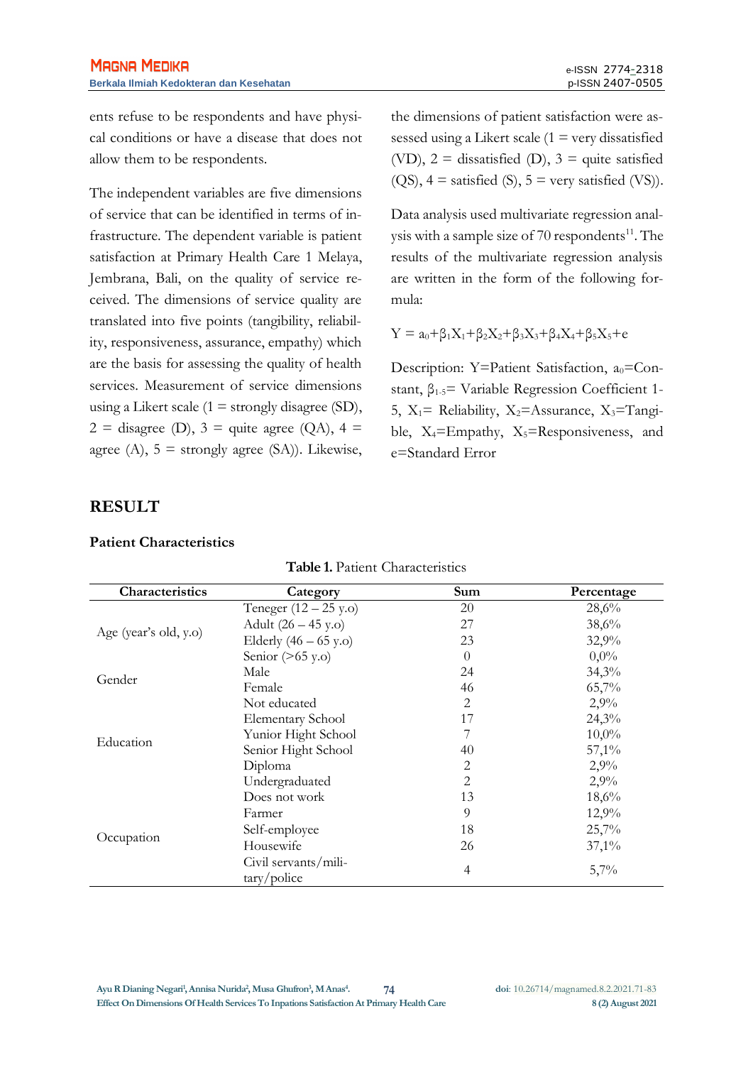ents refuse to be respondents and have physical conditions or have a disease that does not allow them to be respondents.

The independent variables are five dimensions of service that can be identified in terms of infrastructure. The dependent variable is patient satisfaction at Primary Health Care 1 Melaya, Jembrana, Bali, on the quality of service received. The dimensions of service quality are translated into five points (tangibility, reliability, responsiveness, assurance, empathy) which are the basis for assessing the quality of health services. Measurement of service dimensions using a Likert scale  $(1 =$  strongly disagree  $(SD)$ ,  $2 =$  disagree (D),  $3 =$  quite agree (QA),  $4 =$ agree (A),  $5 =$  strongly agree (SA)). Likewise,

the dimensions of patient satisfaction were assessed using a Likert scale  $(1 = \text{very dissatisfied})$ (VD),  $2 =$  dissatisfied (D),  $3 =$  quite satisfied  $(QS)$ ,  $4 =$  satisfied  $(S)$ ,  $5 =$  very satisfied  $(VS)$ ).

Data analysis used multivariate regression analysis with a sample size of 70 respondents $^{11}$ . The results of the multivariate regression analysis are written in the form of the following formula:

$$
Y=a_0+\beta_1X_1+\beta_2X_2+\beta_3X_3+\beta_4X_4+\beta_5X_5+e
$$

Description: Y=Patient Satisfaction,  $a_0$ =Constant,  $\beta_{1.5}$ = Variable Regression Coefficient 1-5,  $X_1$ = Reliability,  $X_2$ =Assurance,  $X_3$ =Tangible,  $X_4$ =Empathy,  $X_5$ =Responsiveness, and e=Standard Error

### **RESULT**

#### **Patient Characteristics**

| Characteristics       | Category                                    | Sum      | Percentage |
|-----------------------|---------------------------------------------|----------|------------|
|                       | Teneger $(12 - 25 y.o)$                     | 20       | 28,6%      |
| Age (year's old, y.o) | Adult $(26 - 45 \text{ y.o})$               | 27       | 38,6%      |
|                       | Elderly $(46 - 65$ y.o)                     | 23       | 32,9%      |
|                       | Senior $($ >65 y.o)                         | $\Omega$ | $0,0\%$    |
| Gender                | Male                                        | 24       | 34,3%      |
|                       | Female                                      | 46       | 65,7%      |
|                       | Not educated                                | 2        | 2,9%       |
|                       | <b>Elementary School</b>                    | 17       | 24,3%      |
| Education             | Yunior Hight School                         |          | $10,0\%$   |
|                       | Senior Hight School                         | 40       | 57,1%      |
|                       | Diploma                                     | 2        | 2,9%       |
|                       | Undergraduated                              | 2        | 2,9%       |
|                       | Does not work                               | 13       | 18,6%      |
|                       | Farmer                                      | 9        | 12,9%      |
|                       | Self-employee                               | 18       | 25,7%      |
| Occupation            | Housewife                                   | 26       | $37,1\%$   |
|                       | Civil servants/mili-<br>$\frac{tary}{pole}$ | 4        | 5,7%       |

#### **Table 1.** Patient Characteristics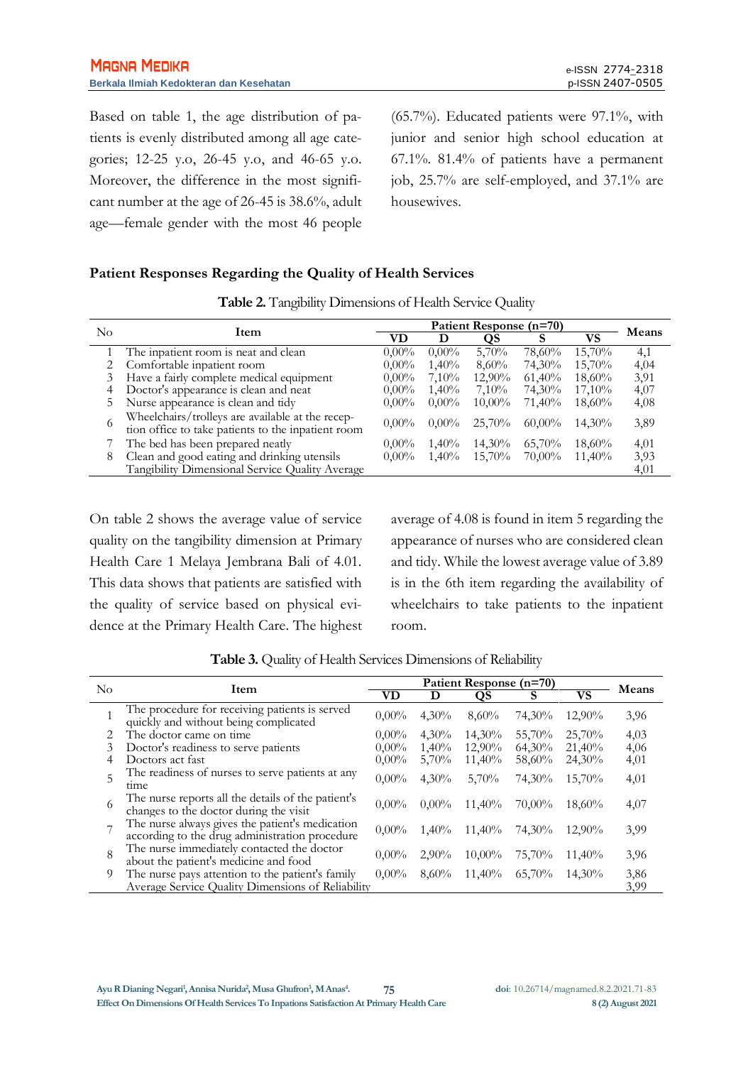Based on table 1, the age distribution of patients is evenly distributed among all age categories; 12-25 y.o, 26-45 y.o, and 46-65 y.o. Moreover, the difference in the most significant number at the age of 26-45 is 38.6%, adult age—female gender with the most 46 people

(65.7%). Educated patients were 97.1%, with junior and senior high school education at 67.1%. 81.4% of patients have a permanent job, 25.7% are self-employed, and 37.1% are housewives.

### **Patient Responses Regarding the Quality of Health Services**

|  |  | Table 2. Tangibility Dimensions of Health Service Quality |  |  |  |
|--|--|-----------------------------------------------------------|--|--|--|
|--|--|-----------------------------------------------------------|--|--|--|

| No<br>Item |                                                                                                        | Patient Response (n=70) |          |           |           | Means     |      |
|------------|--------------------------------------------------------------------------------------------------------|-------------------------|----------|-----------|-----------|-----------|------|
|            |                                                                                                        | VD                      |          | QS        | S         | VS        |      |
|            | The inpatient room is neat and clean                                                                   | $0.00\%$                | $0.00\%$ | 5,70%     | 78,60%    | $15,70\%$ | 4,1  |
|            | Comfortable inpatient room                                                                             | $0.00\%$                | 1,40%    | 8,60%     | 74,30%    | $15,70\%$ | 4,04 |
|            | Have a fairly complete medical equipment                                                               | $0.00\%$                | $7.10\%$ | $12,90\%$ | 61,40%    | $18,60\%$ | 3,91 |
| 4          | Doctor's appearance is clean and neat                                                                  | $0.00\%$                | 1,40%    | $7.10\%$  | 74,30%    | 17,10%    | 4,07 |
| 5          | Nurse appearance is clean and tidy                                                                     | $0.00\%$                | $0.00\%$ | $10,00\%$ | 71,40%    | 18,60%    | 4,08 |
| 6          | Wheelchairs/trolleys are available at the recep-<br>tion office to take patients to the inpatient room | $0.00\%$                | $0.00\%$ | 25,70%    | $60,00\%$ | 14,30%    | 3,89 |
|            | The bed has been prepared neatly                                                                       | $0.00\%$                | $1,40\%$ | 14,30%    | 65,70%    | 18,60%    | 4,01 |
| 8          | Clean and good eating and drinking utensils                                                            | $0.00\%$                | 1,40%    | 15,70%    | 70,00%    | 11,40%    | 3,93 |
|            | Tangibility Dimensional Service Quality Average                                                        |                         |          |           |           |           | 4,01 |

On table 2 shows the average value of service quality on the tangibility dimension at Primary Health Care 1 Melaya Jembrana Bali of 4.01. This data shows that patients are satisfied with the quality of service based on physical evidence at the Primary Health Care. The highest average of 4.08 is found in item 5 regarding the appearance of nurses who are considered clean and tidy. While the lowest average value of 3.89 is in the 6th item regarding the availability of wheelchairs to take patients to the inpatient room.

| No             | Item                                                                                              | Patient Response (n=70) |          |           |        |        | Means |
|----------------|---------------------------------------------------------------------------------------------------|-------------------------|----------|-----------|--------|--------|-------|
|                |                                                                                                   | VD                      |          | OS        | s      | VS     |       |
|                | The procedure for receiving patients is served<br>quickly and without being complicated           | $0.00\%$                | 4,30%    | 8.60%     | 74,30% | 12,90% | 3,96  |
|                | The doctor came on time.                                                                          | $0.00\%$                | $4.30\%$ | 14,30%    | 55,70% | 25,70% | 4,03  |
| 3              | Doctor's readiness to serve patients                                                              | $0.00\%$                | 1,40%    | 12,90%    | 64,30% | 21,40% | 4,06  |
| 4              | Doctors act fast                                                                                  | $0.00\%$                | 5,70%    | 11,40%    | 58,60% | 24,30% | 4,01  |
| 5              | The readiness of nurses to serve patients at any<br>time                                          | $0.00\%$                | 4,30%    | 5,70%     | 74,30% | 15,70% | 4,01  |
| 6              | The nurse reports all the details of the patient's<br>changes to the doctor during the visit      | $0.00\%$                | $0,00\%$ | 11,40%    | 70,00% | 18,60% | 4,07  |
| $\overline{ }$ | The nurse always gives the patient's medication<br>according to the drug administration procedure | $0.00\%$                | 1,40%    | 11,40%    | 74,30% | 12.90% | 3,99  |
| 8              | The nurse immediately contacted the doctor<br>about the patient's medicine and food               | $0.00\%$                | $2,90\%$ | $10,00\%$ | 75,70% | 11,40% | 3,96  |
| 9              | The nurse pays attention to the patient's family                                                  | $0.00\%$                | 8,60%    | $11,40\%$ | 65,70% | 14.30% | 3,86  |
|                | Average Service Ouality Dimensions of Reliability                                                 |                         |          |           |        |        | 3,99  |

**Table 3.** Quality of Health Services Dimensions of Reliability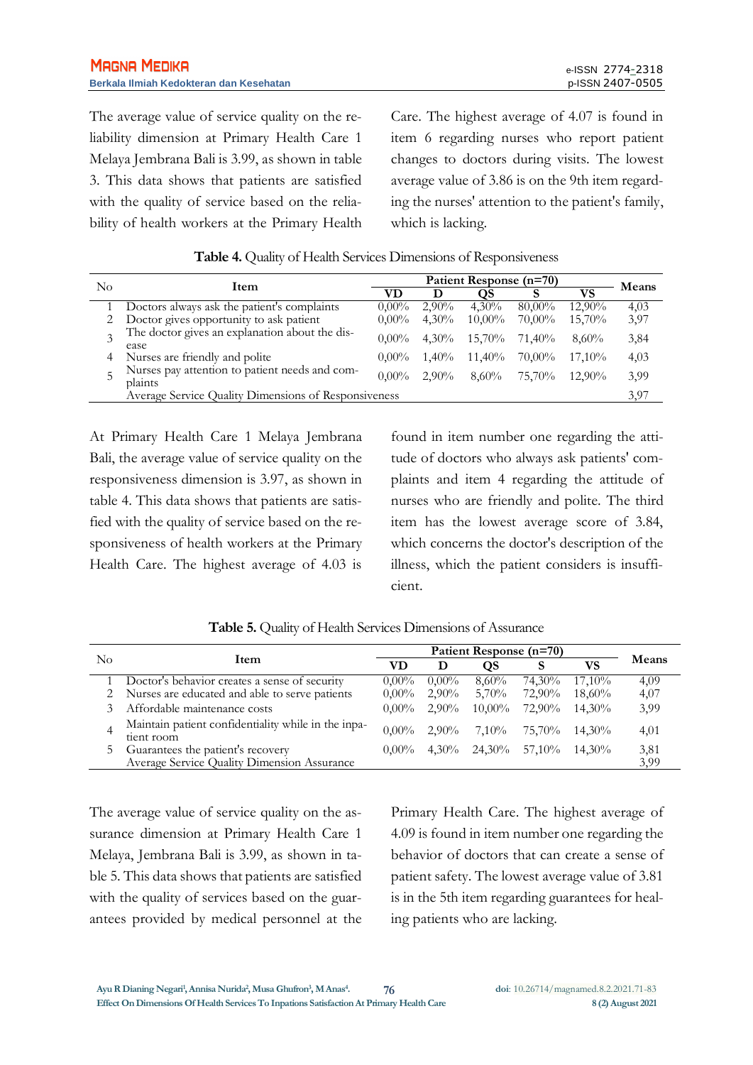The average value of service quality on the reliability dimension at Primary Health Care 1 Melaya Jembrana Bali is 3.99, as shown in table 3. This data shows that patients are satisfied with the quality of service based on the reliability of health workers at the Primary Health Care. The highest average of 4.07 is found in item 6 regarding nurses who report patient changes to doctors during visits. The lowest average value of 3.86 is on the 9th item regarding the nurses' attention to the patient's family, which is lacking.

| No | Item                                                      |          | Means    |           |           |           |      |
|----|-----------------------------------------------------------|----------|----------|-----------|-----------|-----------|------|
|    |                                                           | VD       |          | OS.       |           | VS        |      |
|    | Doctors always ask the patient's complaints               | $0.00\%$ | $2,90\%$ | $4.30\%$  | $80.00\%$ | 12,90%    | 4,03 |
|    | Doctor gives opportunity to ask patient                   | $0.00\%$ | $4,30\%$ | $10,00\%$ | 70,00%    | 15,70%    | 3,97 |
|    | The doctor gives an explanation about the dis-<br>ease    | $0.00\%$ | $4.30\%$ | $15,70\%$ | 71.40%    | $8.60\%$  | 3,84 |
| 4  | Nurses are friendly and polite                            | $0.00\%$ | $1.40\%$ | $11,40\%$ | 70,00%    | $17.10\%$ | 4,03 |
|    | Nurses pay attention to patient needs and com-<br>plaints | $0.00\%$ | $2.90\%$ | $8.60\%$  | 75,70%    | $12.90\%$ | 3.99 |
|    | Average Service Quality Dimensions of Responsiveness      |          |          |           |           |           | 3.97 |

| Table 4. Quality of Health Services Dimensions of Responsiveness |
|------------------------------------------------------------------|
|------------------------------------------------------------------|

At Primary Health Care 1 Melaya Jembrana Bali, the average value of service quality on the responsiveness dimension is 3.97, as shown in table 4. This data shows that patients are satisfied with the quality of service based on the responsiveness of health workers at the Primary Health Care. The highest average of 4.03 is

found in item number one regarding the attitude of doctors who always ask patients' complaints and item 4 regarding the attitude of nurses who are friendly and polite. The third item has the lowest average score of 3.84, which concerns the doctor's description of the illness, which the patient considers is insufficient.

|    |                                                                   | Patient Response (n=70) |          |               |        |           |       |
|----|-------------------------------------------------------------------|-------------------------|----------|---------------|--------|-----------|-------|
| No | Item                                                              | VD                      | D        | OS            |        | VS        | Means |
|    | Doctor's behavior creates a sense of security                     | $0.00\%$                | $0.00\%$ | $8,60\%$      | 74,30% | $17,10\%$ | 4,09  |
|    | Nurses are educated and able to serve patients                    | $0.00\%$                | $2,90\%$ | 5,70%         | 72,90% | $18,60\%$ | 4,07  |
|    | Affordable maintenance costs                                      | $0.00\%$                | $2.90\%$ | $10,00\%$     | 72,90% | $14.30\%$ | 3.99  |
|    | Maintain patient confidentiality while in the inpa-<br>tient room | $0.00\%$                | $2.90\%$ | $7,10\%$      | 75,70% | $14.30\%$ | 4,01  |
|    | Guarantees the patient's recovery                                 | $0.00\%$                | $4.30\%$ | 24,30% 57,10% |        | 14,30%    | 3,81  |
|    | Average Service Quality Dimension Assurance                       |                         |          |               |        |           | 3,99  |

**Table 5.** Quality of Health Services Dimensions of Assurance

The average value of service quality on the assurance dimension at Primary Health Care 1 Melaya, Jembrana Bali is 3.99, as shown in table 5. This data shows that patients are satisfied with the quality of services based on the guarantees provided by medical personnel at the Primary Health Care. The highest average of 4.09 is found in item number one regarding the behavior of doctors that can create a sense of patient safety. The lowest average value of 3.81 is in the 5th item regarding guarantees for healing patients who are lacking.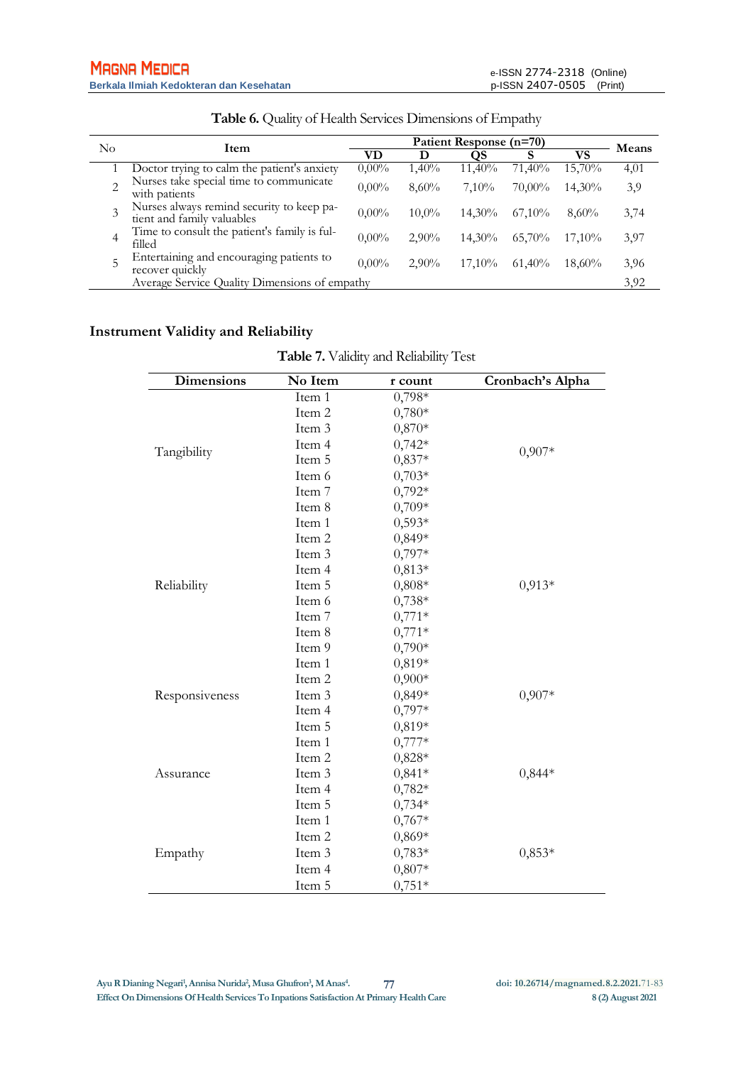| No | Item                                                                    | Patient Response (n=70) |          |           |           |           | Means |
|----|-------------------------------------------------------------------------|-------------------------|----------|-----------|-----------|-----------|-------|
|    |                                                                         | VD                      | D        | OS        |           | VS        |       |
|    | Doctor trying to calm the patient's anxiety                             | $0.00\%$                | 1,40%    | 11,40%    | 71,40%    | 15,70%    | 4,01  |
|    | Nurses take special time to communicate<br>with patients                | $0.00\%$                | 8,60%    | 7.10%     | 70,00%    | 14,30%    | 3,9   |
|    | Nurses always remind security to keep pa-<br>tient and family valuables | $0.00\%$                | 10,0%    | 14,30%    | $67,10\%$ | $8,60\%$  | 3,74  |
| 4  | Time to consult the patient's family is ful-<br>filled                  | $0.00\%$                | $2.90\%$ | $14.30\%$ | 65,70%    | 17.10%    | 3,97  |
| 5  | Entertaining and encouraging patients to<br>recover quickly             | $0.00\%$                | $2.90\%$ | $17.10\%$ | $61,40\%$ | $18,60\%$ | 3,96  |
|    | Average Service Quality Dimensions of empathy                           |                         |          |           |           |           | 3.92  |

**Table 6.** Quality of Health Services Dimensions of Empathy

## **Instrument Validity and Reliability**

| <b>Dimensions</b> | No Item | r count  | Cronbach's Alpha |
|-------------------|---------|----------|------------------|
|                   | Item 1  | $0,798*$ |                  |
|                   | Item 2  | $0,780*$ |                  |
|                   | Item 3  | $0,870*$ |                  |
|                   | Item 4  | $0,742*$ | $0,907*$         |
| Tangibility       | Item 5  | $0,837*$ |                  |
|                   | Item 6  | $0,703*$ |                  |
|                   | Item 7  | $0,792*$ |                  |
|                   | Item 8  | $0,709*$ |                  |
|                   | Item 1  | $0,593*$ |                  |
|                   | Item 2  | $0,849*$ |                  |
|                   | Item 3  | $0,797*$ |                  |
|                   | Item 4  | $0,813*$ |                  |
| Reliability       | Item 5  | $0,808*$ | $0,913*$         |
|                   | Item 6  | $0,738*$ |                  |
|                   | Item 7  | $0,771*$ |                  |
|                   | Item 8  | $0,771*$ |                  |
|                   | Item 9  | $0,790*$ |                  |
|                   | Item 1  | 0,819*   |                  |
|                   | Item 2  | $0,900*$ |                  |
| Responsiveness    | Item 3  | $0,849*$ | $0,907*$         |
|                   | Item 4  | $0,797*$ |                  |
|                   | Item 5  | 0,819*   |                  |
|                   | Item 1  | $0,777*$ |                  |
|                   | Item 2  | $0,828*$ |                  |
| Assurance         | Item 3  | $0,841*$ | $0,844*$         |
|                   | Item 4  | $0,782*$ |                  |
|                   | Item 5  | $0,734*$ |                  |
|                   | Item 1  | $0,767*$ |                  |
|                   | Item 2  | $0,869*$ |                  |
| Empathy           | Item 3  | $0,783*$ | $0,853*$         |
|                   | Item 4  | $0,807*$ |                  |
|                   | Item 5  | $0,751*$ |                  |

**Table 7.** Validity and Reliability Test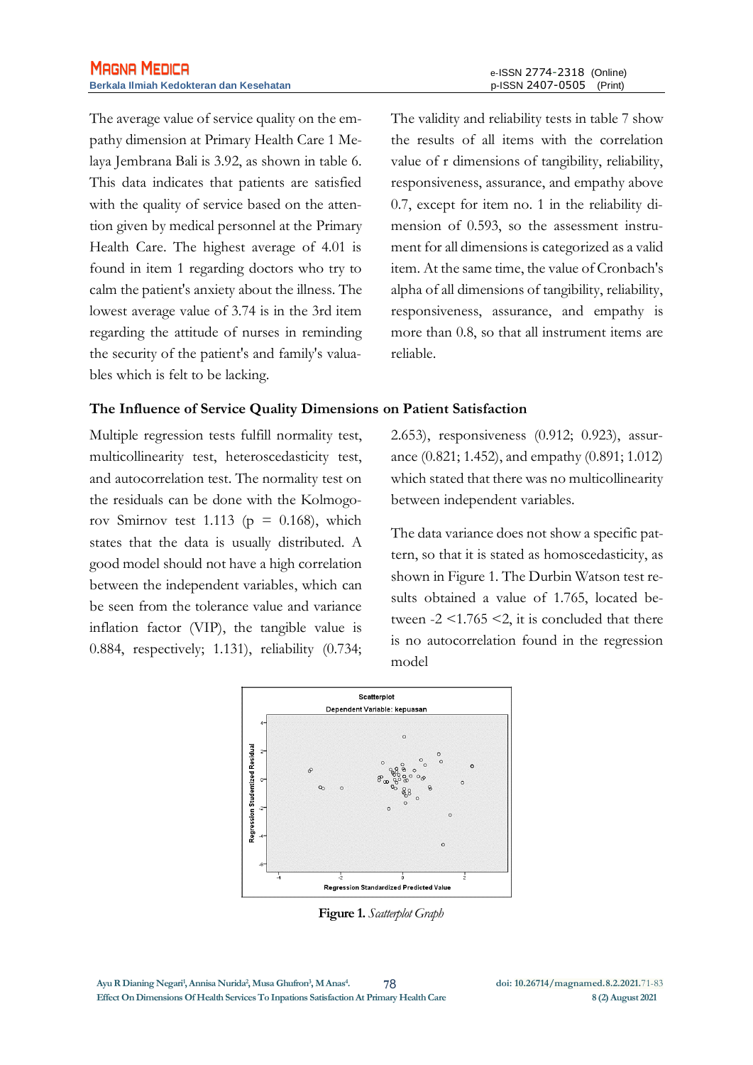The average value of service quality on the empathy dimension at Primary Health Care 1 Melaya Jembrana Bali is 3.92, as shown in table 6. This data indicates that patients are satisfied with the quality of service based on the attention given by medical personnel at the Primary Health Care. The highest average of 4.01 is found in item 1 regarding doctors who try to calm the patient's anxiety about the illness. The lowest average value of 3.74 is in the 3rd item regarding the attitude of nurses in reminding the security of the patient's and family's valuables which is felt to be lacking.

The validity and reliability tests in table 7 show the results of all items with the correlation value of r dimensions of tangibility, reliability, responsiveness, assurance, and empathy above 0.7, except for item no. 1 in the reliability dimension of 0.593, so the assessment instrument for all dimensions is categorized as a valid item. At the same time, the value of Cronbach's alpha of all dimensions of tangibility, reliability, responsiveness, assurance, and empathy is more than 0.8, so that all instrument items are reliable.

#### **The Influence of Service Quality Dimensions on Patient Satisfaction**

Multiple regression tests fulfill normality test, multicollinearity test, heteroscedasticity test, and autocorrelation test. The normality test on the residuals can be done with the Kolmogorov Smirnov test 1.113 ( $p = 0.168$ ), which states that the data is usually distributed. A good model should not have a high correlation between the independent variables, which can be seen from the tolerance value and variance inflation factor (VIP), the tangible value is 0.884, respectively; 1.131), reliability (0.734; 2.653), responsiveness (0.912; 0.923), assurance (0.821; 1.452), and empathy (0.891; 1.012) which stated that there was no multicollinearity between independent variables.

The data variance does not show a specific pattern, so that it is stated as homoscedasticity, as shown in Figure 1. The Durbin Watson test results obtained a value of 1.765, located between  $-2 \le 1.765 \le 2$ , it is concluded that there is no autocorrelation found in the regression model



**Figure 1.** *Scatterplot Graph*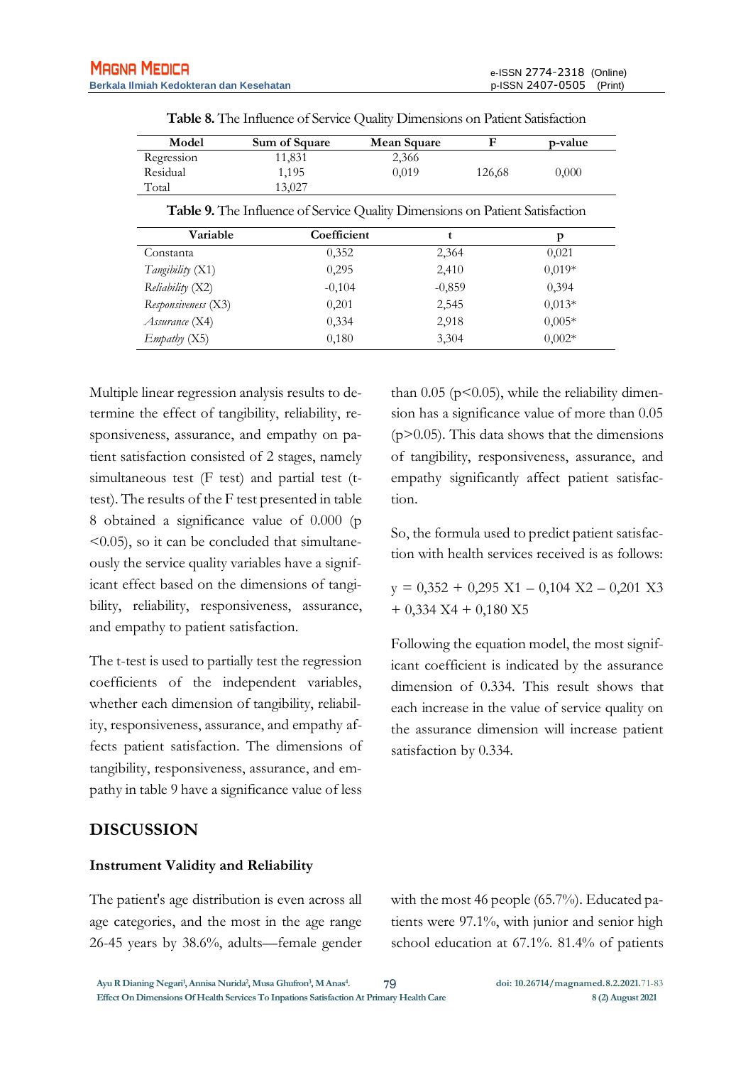| Model                   | Sum of Square                                                                       | Mean Square | F      | p-value  |
|-------------------------|-------------------------------------------------------------------------------------|-------------|--------|----------|
| Regression              | 11,831                                                                              | 2,366       |        |          |
| Residual                | 1,195                                                                               | 0,019       | 126,68 | 0,000    |
| Total                   | 13,027                                                                              |             |        |          |
|                         | <b>Table 9.</b> The Influence of Service Quality Dimensions on Patient Satisfaction |             |        |          |
| Variable                | Coefficient                                                                         | t           |        | p        |
| Constanta               | 0,352                                                                               | 2,364       |        | 0,021    |
| <i>Tangibility</i> (X1) | 0,295                                                                               | 2,410       |        | $0,019*$ |
| Reliability (X2)        | $-0,104$                                                                            | $-0,859$    |        | 0,394    |
| Responsiveness (X3)     | 0,201                                                                               | 2,545       |        | $0.013*$ |
| <i>Assurance</i> (X4)   | 0.334                                                                               | 2,918       |        | $0.005*$ |
| Embatby(X5)             | 0,180                                                                               | 3.304       |        | $0.002*$ |

**Table 8.** The Influence of Service Quality Dimensions on Patient Satisfaction

Multiple linear regression analysis results to determine the effect of tangibility, reliability, responsiveness, assurance, and empathy on patient satisfaction consisted of 2 stages, namely simultaneous test (F test) and partial test (ttest). The results of the F test presented in table 8 obtained a significance value of 0.000 (p  $\leq$  0.05), so it can be concluded that simultaneously the service quality variables have a significant effect based on the dimensions of tangibility, reliability, responsiveness, assurance, and empathy to patient satisfaction.

The t-test is used to partially test the regression coefficients of the independent variables, whether each dimension of tangibility, reliability, responsiveness, assurance, and empathy affects patient satisfaction. The dimensions of tangibility, responsiveness, assurance, and empathy in table 9 have a significance value of less

than  $0.05$  ( $p$ < $0.05$ ), while the reliability dimension has a significance value of more than 0.05  $(p>0.05)$ . This data shows that the dimensions of tangibility, responsiveness, assurance, and empathy significantly affect patient satisfaction.

So, the formula used to predict patient satisfaction with health services received is as follows:

 $y = 0,352 + 0,295$  X1 – 0,104 X2 – 0,201 X3  $+ 0,334$  X4 + 0,180 X5

Following the equation model, the most significant coefficient is indicated by the assurance dimension of 0.334. This result shows that each increase in the value of service quality on the assurance dimension will increase patient satisfaction by 0.334.

### **DISCUSSION**

#### **Instrument Validity and Reliability**

The patient's age distribution is even across all age categories, and the most in the age range 26-45 years by 38.6%, adults—female gender with the most 46 people (65.7%). Educated patients were 97.1%, with junior and senior high school education at 67.1%. 81.4% of patients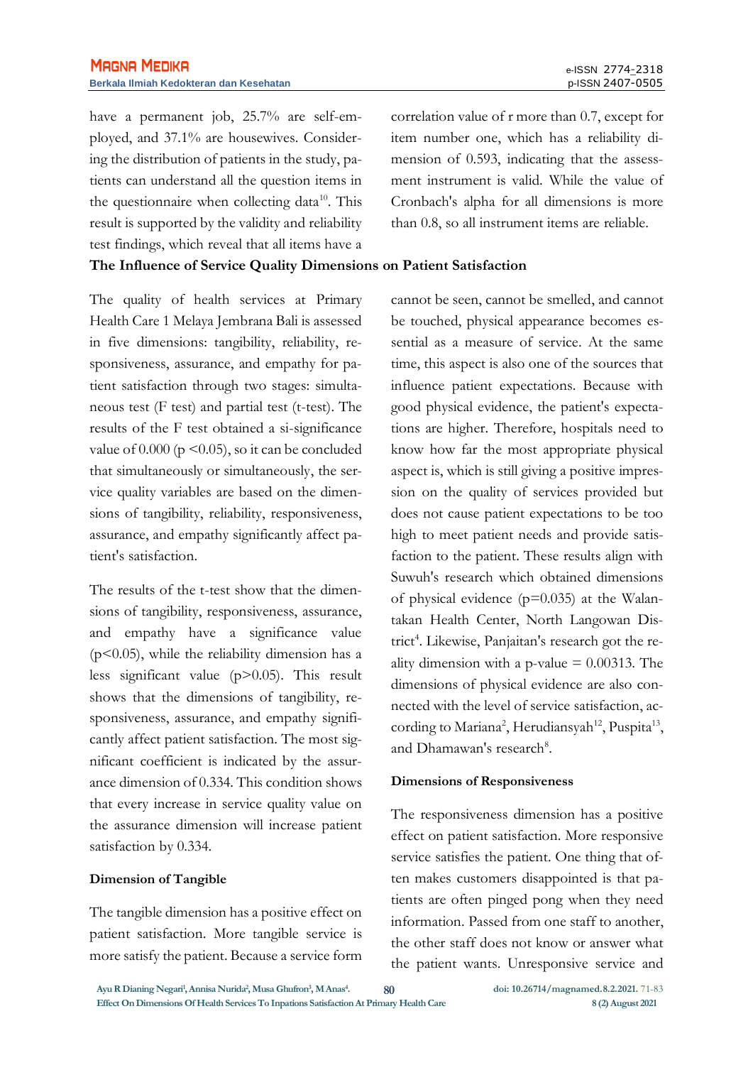have a permanent job, 25.7% are self-employed, and 37.1% are housewives. Considering the distribution of patients in the study, patients can understand all the question items in the questionnaire when collecting data<sup>10</sup>. This result is supported by the validity and reliability test findings, which reveal that all items have a **The Influence of Service Quality Dimensions on Patient Satisfaction**

The quality of health services at Primary Health Care 1 Melaya Jembrana Bali is assessed in five dimensions: tangibility, reliability, responsiveness, assurance, and empathy for patient satisfaction through two stages: simultaneous test (F test) and partial test (t-test). The results of the F test obtained a si-significance value of  $0.000$  (p  $\leq 0.05$ ), so it can be concluded that simultaneously or simultaneously, the service quality variables are based on the dimensions of tangibility, reliability, responsiveness, assurance, and empathy significantly affect patient's satisfaction.

The results of the t-test show that the dimensions of tangibility, responsiveness, assurance, and empathy have a significance value  $(p<0.05)$ , while the reliability dimension has a less significant value (p>0.05). This result shows that the dimensions of tangibility, responsiveness, assurance, and empathy significantly affect patient satisfaction. The most significant coefficient is indicated by the assurance dimension of 0.334. This condition shows that every increase in service quality value on the assurance dimension will increase patient satisfaction by 0.334.

#### **Dimension of Tangible**

The tangible dimension has a positive effect on patient satisfaction. More tangible service is more satisfy the patient. Because a service form correlation value of r more than 0.7, except for item number one, which has a reliability dimension of 0.593, indicating that the assessment instrument is valid. While the value of Cronbach's alpha for all dimensions is more than 0.8, so all instrument items are reliable.

cannot be seen, cannot be smelled, and cannot be touched, physical appearance becomes essential as a measure of service. At the same time, this aspect is also one of the sources that influence patient expectations. Because with good physical evidence, the patient's expectations are higher. Therefore, hospitals need to know how far the most appropriate physical aspect is, which is still giving a positive impression on the quality of services provided but does not cause patient expectations to be too high to meet patient needs and provide satisfaction to the patient. These results align with Suwuh's research which obtained dimensions of physical evidence  $(p=0.035)$  at the Walantakan Health Center, North Langowan District<sup>4</sup>. Likewise, Panjaitan's research got the reality dimension with a p-value  $= 0.00313$ . The dimensions of physical evidence are also connected with the level of service satisfaction, according to Mariana<sup>2</sup>, Herudiansyah<sup>12</sup>, Puspita<sup>13</sup>, and Dhamawan's research<sup>8</sup>.

#### **Dimensions of Responsiveness**

The responsiveness dimension has a positive effect on patient satisfaction. More responsive service satisfies the patient. One thing that often makes customers disappointed is that patients are often pinged pong when they need information. Passed from one staff to another, the other staff does not know or answer what the patient wants. Unresponsive service and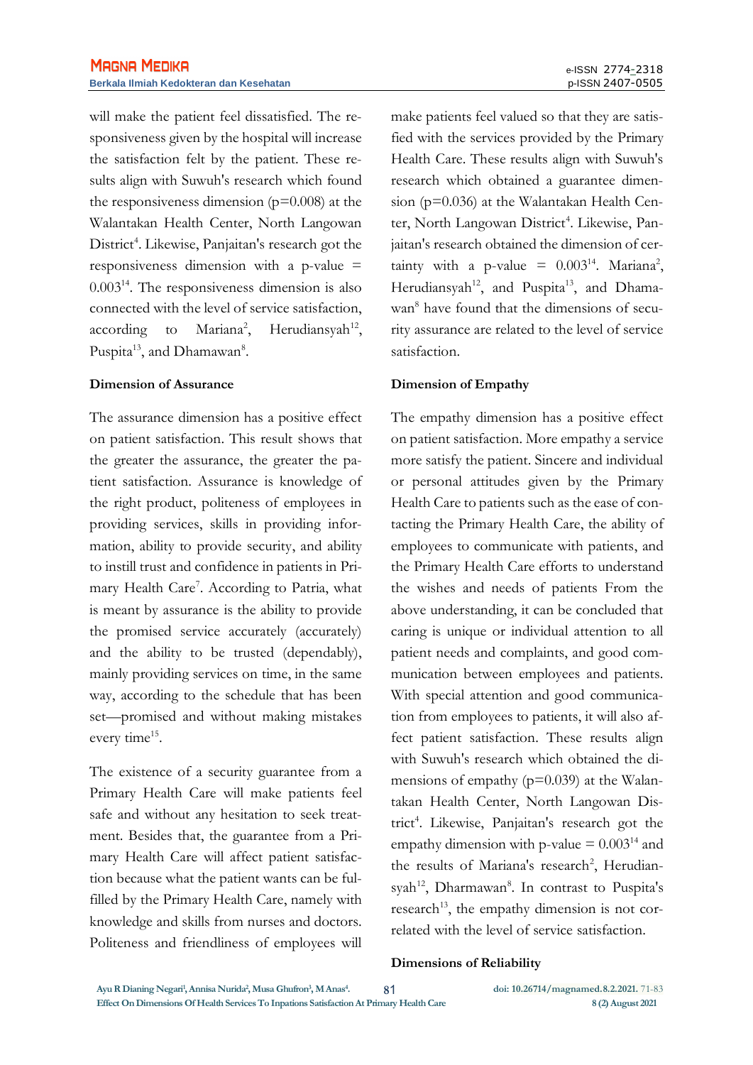will make the patient feel dissatisfied. The responsiveness given by the hospital will increase the satisfaction felt by the patient. These results align with Suwuh's research which found the responsiveness dimension  $(p=0.008)$  at the Walantakan Health Center, North Langowan District<sup>4</sup>. Likewise, Panjaitan's research got the responsiveness dimension with a p-value = 0.003<sup>14</sup> . The responsiveness dimension is also connected with the level of service satisfaction, according to Mariana<sup>2</sup>,  $,$  Herudiansyah<sup>12</sup>, Puspita<sup>13</sup>, and Dhamawan<sup>8</sup>.

#### **Dimension of Assurance**

The assurance dimension has a positive effect on patient satisfaction. This result shows that the greater the assurance, the greater the patient satisfaction. Assurance is knowledge of the right product, politeness of employees in providing services, skills in providing information, ability to provide security, and ability to instill trust and confidence in patients in Primary Health Care<sup>7</sup>. According to Patria, what is meant by assurance is the ability to provide the promised service accurately (accurately) and the ability to be trusted (dependably), mainly providing services on time, in the same way, according to the schedule that has been set—promised and without making mistakes every time<sup>15</sup>.

The existence of a security guarantee from a Primary Health Care will make patients feel safe and without any hesitation to seek treatment. Besides that, the guarantee from a Primary Health Care will affect patient satisfaction because what the patient wants can be fulfilled by the Primary Health Care, namely with knowledge and skills from nurses and doctors. Politeness and friendliness of employees will

make patients feel valued so that they are satisfied with the services provided by the Primary Health Care. These results align with Suwuh's research which obtained a guarantee dimension (p=0.036) at the Walantakan Health Center, North Langowan District<sup>4</sup>. Likewise, Panjaitan's research obtained the dimension of certainty with a p-value =  $0.003^{14}$ . Mariana<sup>2</sup>, Herudiansyah<sup>12</sup>, and Puspita<sup>13</sup>, and Dhamawan<sup>8</sup> have found that the dimensions of security assurance are related to the level of service satisfaction.

#### **Dimension of Empathy**

The empathy dimension has a positive effect on patient satisfaction. More empathy a service more satisfy the patient. Sincere and individual or personal attitudes given by the Primary Health Care to patients such as the ease of contacting the Primary Health Care, the ability of employees to communicate with patients, and the Primary Health Care efforts to understand the wishes and needs of patients From the above understanding, it can be concluded that caring is unique or individual attention to all patient needs and complaints, and good communication between employees and patients. With special attention and good communication from employees to patients, it will also affect patient satisfaction. These results align with Suwuh's research which obtained the dimensions of empathy  $(p=0.039)$  at the Walantakan Health Center, North Langowan District<sup>4</sup>. Likewise, Panjaitan's research got the empathy dimension with p-value  $= 0.003^{14}$  and the results of Mariana's research<sup>2</sup>, Herudiansyah<sup>12</sup>, Dharmawan8. In contrast to Puspita's research<sup>13</sup>, the empathy dimension is not correlated with the level of service satisfaction.

#### **Dimensions of Reliability**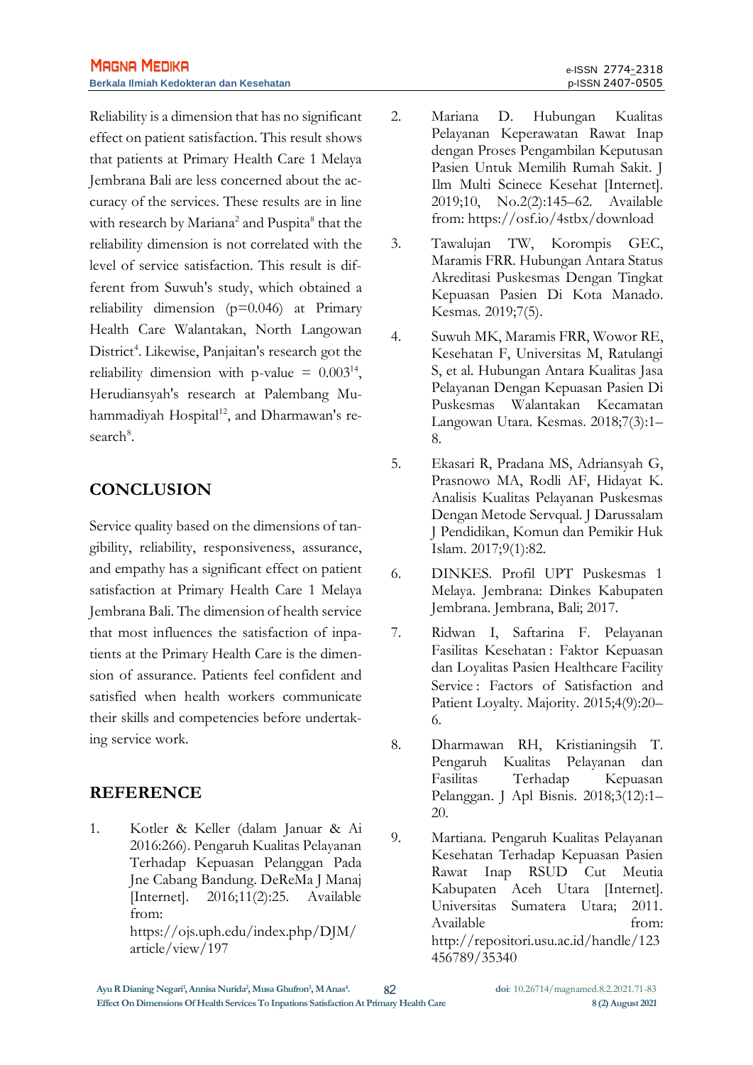Reliability is a dimension that has no significant effect on patient satisfaction. This result shows that patients at Primary Health Care 1 Melaya Jembrana Bali are less concerned about the accuracy of the services. These results are in line with research by Mariana<sup>2</sup> and Puspita<sup>8</sup> that the reliability dimension is not correlated with the level of service satisfaction. This result is different from Suwuh's study, which obtained a reliability dimension (p=0.046) at Primary Health Care Walantakan, North Langowan District<sup>4</sup>. Likewise, Panjaitan's research got the reliability dimension with p-value =  $0.003^{14}$ , Herudiansyah's research at Palembang Muhammadiyah Hospital<sup>12</sup>, and Dharmawan's research<sup>8</sup>.

## **CONCLUSION**

Service quality based on the dimensions of tangibility, reliability, responsiveness, assurance, and empathy has a significant effect on patient satisfaction at Primary Health Care 1 Melaya Jembrana Bali. The dimension of health service that most influences the satisfaction of inpatients at the Primary Health Care is the dimension of assurance. Patients feel confident and satisfied when health workers communicate their skills and competencies before undertaking service work.

## **REFERENCE**

1. Kotler & Keller (dalam Januar & Ai 2016:266). Pengaruh Kualitas Pelayanan Terhadap Kepuasan Pelanggan Pada Jne Cabang Bandung. DeReMa J Manaj [Internet]. 2016;11(2):25. Available from: https://ojs.uph.edu/index.php/DJM/ article/view/197

- 2. Mariana D. Hubungan Kualitas Pelayanan Keperawatan Rawat Inap dengan Proses Pengambilan Keputusan Pasien Untuk Memilih Rumah Sakit. J Ilm Multi Scinece Kesehat [Internet]. 2019;10, No.2(2):145–62. Available from: https://osf.io/4stbx/download
- 3. Tawalujan TW, Korompis GEC, Maramis FRR. Hubungan Antara Status Akreditasi Puskesmas Dengan Tingkat Kepuasan Pasien Di Kota Manado. Kesmas. 2019;7(5).
- 4. Suwuh MK, Maramis FRR, Wowor RE, Kesehatan F, Universitas M, Ratulangi S, et al. Hubungan Antara Kualitas Jasa Pelayanan Dengan Kepuasan Pasien Di Puskesmas Walantakan Kecamatan Langowan Utara. Kesmas. 2018;7(3):1– 8.
- 5. Ekasari R, Pradana MS, Adriansyah G, Prasnowo MA, Rodli AF, Hidayat K. Analisis Kualitas Pelayanan Puskesmas Dengan Metode Servqual. J Darussalam J Pendidikan, Komun dan Pemikir Huk Islam. 2017;9(1):82.
- 6. DINKES. Profil UPT Puskesmas 1 Melaya. Jembrana: Dinkes Kabupaten Jembrana. Jembrana, Bali; 2017.
- 7. Ridwan I, Saftarina F. Pelayanan Fasilitas Kesehatan : Faktor Kepuasan dan Loyalitas Pasien Healthcare Facility Service : Factors of Satisfaction and Patient Loyalty. Majority. 2015;4(9):20– 6.
- 8. Dharmawan RH, Kristianingsih T. Pengaruh Kualitas Pelayanan dan Fasilitas Terhadap Kepuasan Pelanggan. J Apl Bisnis. 2018;3(12):1– 20.
- 9. Martiana. Pengaruh Kualitas Pelayanan Kesehatan Terhadap Kepuasan Pasien Rawat Inap RSUD Cut Meutia Kabupaten Aceh Utara [Internet]. Universitas Sumatera Utara; 2011. Available from: http://repositori.usu.ac.id/handle/123 456789/35340